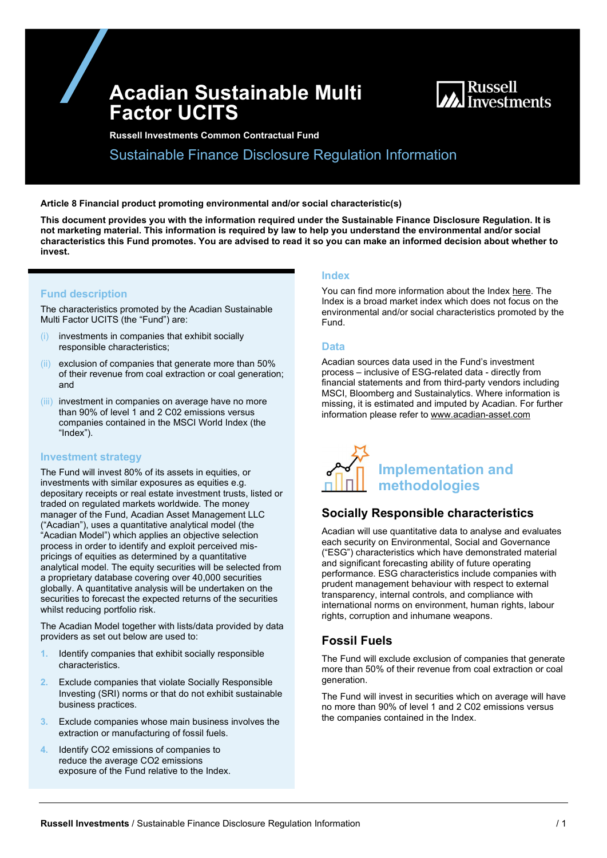# Acadian Sustainable Multi Factor UCITS



Russell Investments Common Contractual Fund

Sustainable Finance Disclosure Regulation Information

#### Article 8 Financial product promoting environmental and/or social characteristic(s)

This document provides you with the information required under the Sustainable Finance Disclosure Regulation. It is not marketing material. This information is required by law to help you understand the environmental and/or social characteristics this Fund promotes. You are advised to read it so you can make an informed decision about whether to invest.

### Fund description

The characteristics promoted by the Acadian Sustainable Multi Factor UCITS (the "Fund") are:

- investments in companies that exhibit socially responsible characteristics;
- (ii) exclusion of companies that generate more than 50% of their revenue from coal extraction or coal generation; and
- (iii) investment in companies on average have no more than 90% of level 1 and 2 C02 emissions versus companies contained in the MSCI World Index (the "Index").

### Investment strategy

The Fund will invest 80% of its assets in equities, or investments with similar exposures as equities e.g. depositary receipts or real estate investment trusts, listed or traded on regulated markets worldwide. The money manager of the Fund, Acadian Asset Management LLC ("Acadian"), uses a quantitative analytical model (the "Acadian Model") which applies an objective selection process in order to identify and exploit perceived mispricings of equities as determined by a quantitative analytical model. The equity securities will be selected from a proprietary database covering over 40,000 securities globally. A quantitative analysis will be undertaken on the securities to forecast the expected returns of the securities whilst reducing portfolio risk.

The Acadian Model together with lists/data provided by data providers as set out below are used to:

- 1. Identify companies that exhibit socially responsible characteristics.
- 2. Exclude companies that violate Socially Responsible Investing (SRI) norms or that do not exhibit sustainable business practices.
- 3. Exclude companies whose main business involves the extraction or manufacturing of fossil fuels.
- 4. Identify CO2 emissions of companies to reduce the average CO2 emissions exposure of the Fund relative to the Index.

#### Index

You can find more information about the Index here. The Index is a broad market index which does not focus on the environmental and/or social characteristics promoted by the Fund.

#### Data

Acadian sources data used in the Fund's investment process – inclusive of ESG-related data - directly from financial statements and from third-party vendors including MSCI, Bloomberg and Sustainalytics. Where information is missing, it is estimated and imputed by Acadian. For further information please refer to www.acadian-asset.com



## Socially Responsible characteristics

Acadian will use quantitative data to analyse and evaluates each security on Environmental, Social and Governance ("ESG") characteristics which have demonstrated material and significant forecasting ability of future operating performance. ESG characteristics include companies with prudent management behaviour with respect to external transparency, internal controls, and compliance with international norms on environment, human rights, labour rights, corruption and inhumane weapons.

## Fossil Fuels

The Fund will exclude exclusion of companies that generate more than 50% of their revenue from coal extraction or coal generation.

The Fund will invest in securities which on average will have no more than 90% of level 1 and 2 C02 emissions versus the companies contained in the Index.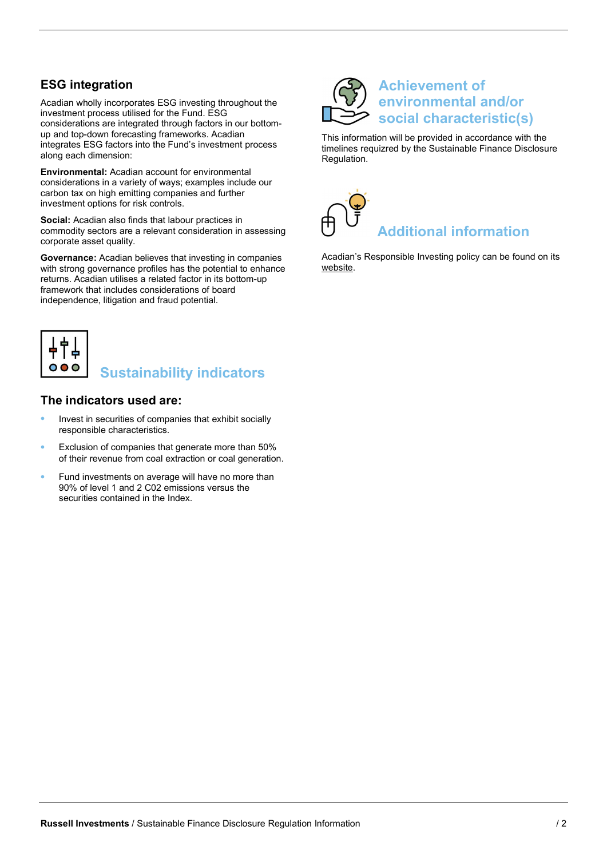## ESG integration

Acadian wholly incorporates ESG investing throughout the investment process utilised for the Fund. ESG considerations are integrated through factors in our bottomup and top-down forecasting frameworks. Acadian integrates ESG factors into the Fund's investment process along each dimension:

Environmental: Acadian account for environmental considerations in a variety of ways; examples include our carbon tax on high emitting companies and further investment options for risk controls.

Social: Acadian also finds that labour practices in commodity sectors are a relevant consideration in assessing corporate asset quality.

Governance: Acadian believes that investing in companies with strong governance profiles has the potential to enhance returns. Acadian utilises a related factor in its bottom-up framework that includes considerations of board independence, litigation and fraud potential.



# Sustainability indicators

## The indicators used are:

- Invest in securities of companies that exhibit socially responsible characteristics.
- Exclusion of companies that generate more than 50% of their revenue from coal extraction or coal generation.
- Fund investments on average will have no more than 90% of level 1 and 2 C02 emissions versus the securities contained in the Index.



# Achievement of **imental and/or** social characteristic(s)

This information will be provided in accordance with the timelines requizred by the Sustainable Finance Disclosure Regulation.



Acadian's Responsible Investing policy can be found on its website.